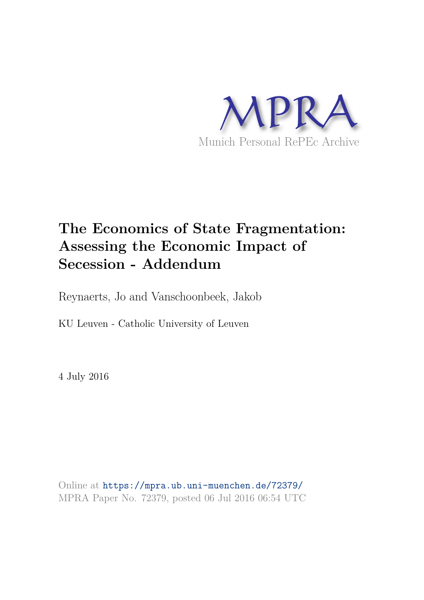

# **The Economics of State Fragmentation: Assessing the Economic Impact of Secession - Addendum**

Reynaerts, Jo and Vanschoonbeek, Jakob

KU Leuven - Catholic University of Leuven

4 July 2016

Online at https://mpra.ub.uni-muenchen.de/72379/ MPRA Paper No. 72379, posted 06 Jul 2016 06:54 UTC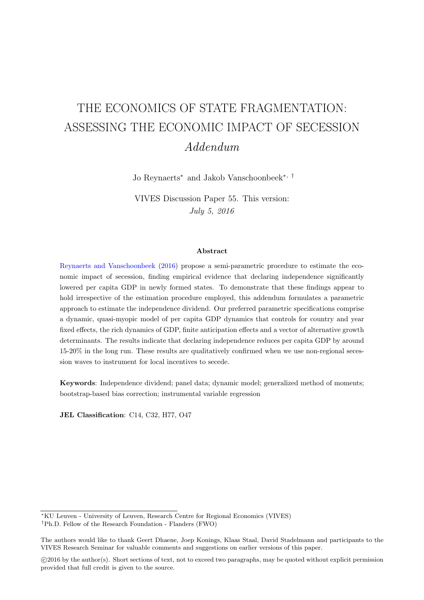# THE ECONOMICS OF STATE FRAGMENTATION: ASSESSING THE ECONOMIC IMPACT OF SECESSION Addendum

Jo Reynaerts<sup>∗</sup> and Jakob Vanschoonbeek<sup>∗</sup>, †

VIVES Discussion Paper 55. This version: July 5, 2016

#### Abstract

Reynaerts and Vanschoonbeek (2016) propose a semi-parametric procedure to estimate the economic impact of secession, finding empirical evidence that declaring independence significantly lowered per capita GDP in newly formed states. To demonstrate that these findings appear to hold irrespective of the estimation procedure employed, this addendum formulates a parametric approach to estimate the independence dividend. Our preferred parametric specifications comprise a dynamic, quasi-myopic model of per capita GDP dynamics that controls for country and year fixed effects, the rich dynamics of GDP, finite anticipation effects and a vector of alternative growth determinants. The results indicate that declaring independence reduces per capita GDP by around 15-20% in the long run. These results are qualitatively confirmed when we use non-regional secession waves to instrument for local incentives to secede.

Keywords: Independence dividend; panel data; dynamic model; generalized method of moments; bootstrap-based bias correction; instrumental variable regression

JEL Classification: C14, C32, H77, O47

<sup>∗</sup>KU Leuven - University of Leuven, Research Centre for Regional Economics (VIVES) †Ph.D. Fellow of the Research Foundation - Flanders (FWO)

The authors would like to thank Geert Dhaene, Joep Konings, Klaas Staal, David Stadelmann and participants to the VIVES Research Seminar for valuable comments and suggestions on earlier versions of this paper.

c 2016 by the author(s). Short sections of text, not to exceed two paragraphs, may be quoted without explicit permission provided that full credit is given to the source.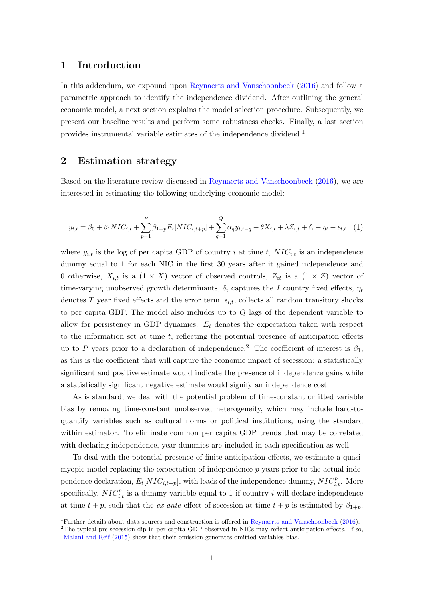### 1 Introduction

In this addendum, we expound upon Reynaerts and Vanschoonbeek (2016) and follow a parametric approach to identify the independence dividend. After outlining the general economic model, a next section explains the model selection procedure. Subsequently, we present our baseline results and perform some robustness checks. Finally, a last section provides instrumental variable estimates of the independence dividend.<sup>1</sup>

# 2 Estimation strategy

Based on the literature review discussed in Reynaerts and Vanschoonbeek (2016), we are interested in estimating the following underlying economic model:

$$
y_{i,t} = \beta_0 + \beta_1 NIC_{i,t} + \sum_{p=1}^{P} \beta_{1+p} E_t [NIC_{i,t+p}] + \sum_{q=1}^{Q} \alpha_q y_{i,t-q} + \theta X_{i,t} + \lambda Z_{i,t} + \delta_i + \eta_t + \epsilon_{i,t} \quad (1)
$$

where  $y_{i,t}$  is the log of per capita GDP of country i at time t,  $NIC_{i,t}$  is an independence dummy equal to 1 for each NIC in the first 30 years after it gained independence and 0 otherwise,  $X_{i,t}$  is a  $(1 \times X)$  vector of observed controls,  $Z_{it}$  is a  $(1 \times Z)$  vector of time-varying unobserved growth determinants,  $\delta_i$  captures the I country fixed effects,  $\eta_t$ denotes T year fixed effects and the error term,  $\epsilon_{i,t}$ , collects all random transitory shocks to per capita GDP. The model also includes up to Q lags of the dependent variable to allow for persistency in GDP dynamics.  $E_t$  denotes the expectation taken with respect to the information set at time  $t$ , reflecting the potential presence of anticipation effects up to P years prior to a declaration of independence.<sup>2</sup> The coefficient of interest is  $\beta_1$ , as this is the coefficient that will capture the economic impact of secession: a statistically significant and positive estimate would indicate the presence of independence gains while a statistically significant negative estimate would signify an independence cost.

As is standard, we deal with the potential problem of time-constant omitted variable bias by removing time-constant unobserved heterogeneity, which may include hard-toquantify variables such as cultural norms or political institutions, using the standard within estimator. To eliminate common per capita GDP trends that may be correlated with declaring independence, year dummies are included in each specification as well.

To deal with the potential presence of finite anticipation effects, we estimate a quasimyopic model replacing the expectation of independence  $p$  years prior to the actual independence declaration,  $E_t[NIC_{i,t+p}]$ , with leads of the independence-dummy,  $NIC_{i,t}^p$ . More specifically,  $NIC_{i,t}^p$  is a dummy variable equal to 1 if country i will declare independence at time  $t + p$ , such that the *ex ante* effect of secession at time  $t + p$  is estimated by  $\beta_{1+p}$ .

<sup>&</sup>lt;sup>1</sup>Further details about data sources and construction is offered in Reynaerts and Vanschoonbeek (2016).

 $2$ The typical pre-secession dip in per capita GDP observed in NICs may reflect anticipation effects. If so, Malani and Reif (2015) show that their omission generates omitted variables bias.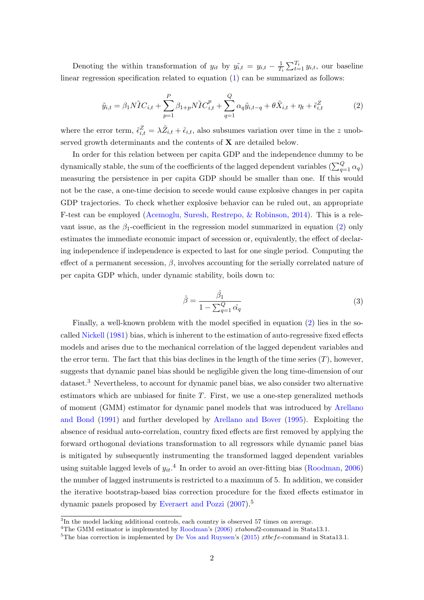Denoting the within transformation of  $y_{it}$  by  $\tilde{y}_{i,t} = y_{i,t} - \frac{1}{T}$  $\frac{1}{T_i} \sum_{t=1}^{T_i} y_{i,t}$ , our baseline linear regression specification related to equation (1) can be summarized as follows:

$$
\tilde{y}_{i,t} = \beta_1 N \tilde{I} C_{i,t} + \sum_{p=1}^{P} \beta_{1+p} N \tilde{I} C_{i,t}^p + \sum_{q=1}^{Q} \alpha_q \tilde{y}_{i,t-q} + \theta \tilde{X}_{i,t} + \eta_t + \tilde{\epsilon}_{i,t}^Z
$$
\n(2)

where the error term,  $\tilde{\epsilon}_{i,t}^Z = \lambda \tilde{Z}_{i,t} + \tilde{\epsilon}_{i,t}$ , also subsumes variation over time in the z unobserved growth determinants and the contents of  $X$  are detailed below.

In order for this relation between per capita GDP and the independence dummy to be dynamically stable, the sum of the coefficients of the lagged dependent variables  $(\sum_{q=1}^{Q}\alpha_q)$ measuring the persistence in per capita GDP should be smaller than one. If this would not be the case, a one-time decision to secede would cause explosive changes in per capita GDP trajectories. To check whether explosive behavior can be ruled out, an appropriate F-test can be employed (Acemoglu, Suresh, Restrepo, & Robinson, 2014). This is a relevant issue, as the  $\beta_1$ -coefficient in the regression model summarized in equation (2) only estimates the immediate economic impact of secession or, equivalently, the effect of declaring independence if independence is expected to last for one single period. Computing the effect of a permanent secession,  $\beta$ , involves accounting for the serially correlated nature of per capita GDP which, under dynamic stability, boils down to:

$$
\hat{\beta} = \frac{\hat{\beta}_1}{1 - \sum_{q=1}^{Q} \hat{\alpha}_q} \tag{3}
$$

Finally, a well-known problem with the model specified in equation (2) lies in the socalled Nickell (1981) bias, which is inherent to the estimation of auto-regressive fixed effects models and arises due to the mechanical correlation of the lagged dependent variables and the error term. The fact that this bias declines in the length of the time series  $(T)$ , however, suggests that dynamic panel bias should be negligible given the long time-dimension of our dataset.<sup>3</sup> Nevertheless, to account for dynamic panel bias, we also consider two alternative estimators which are unbiased for finite  $T$ . First, we use a one-step generalized methods of moment (GMM) estimator for dynamic panel models that was introduced by Arellano and Bond (1991) and further developed by Arellano and Bover (1995). Exploiting the absence of residual auto-correlation, country fixed effects are first removed by applying the forward orthogonal deviations transformation to all regressors while dynamic panel bias is mitigated by subsequently instrumenting the transformed lagged dependent variables using suitable lagged levels of  $y_{it}$ <sup>4</sup>. In order to avoid an over-fitting bias (Roodman, 2006) the number of lagged instruments is restricted to a maximum of 5. In addition, we consider the iterative bootstrap-based bias correction procedure for the fixed effects estimator in dynamic panels proposed by Everaert and Pozzi (2007).<sup>5</sup>

<sup>&</sup>lt;sup>3</sup>In the model lacking additional controls, each country is observed 57 times on average.

<sup>&</sup>lt;sup>4</sup>The GMM estimator is implemented by Roodman's (2006) xtabond2-command in Stata13.1.

<sup>&</sup>lt;sup>5</sup>The bias correction is implemented by De Vos and Ruyssen's (2015)  $xtbcfe$ -command in Stata13.1.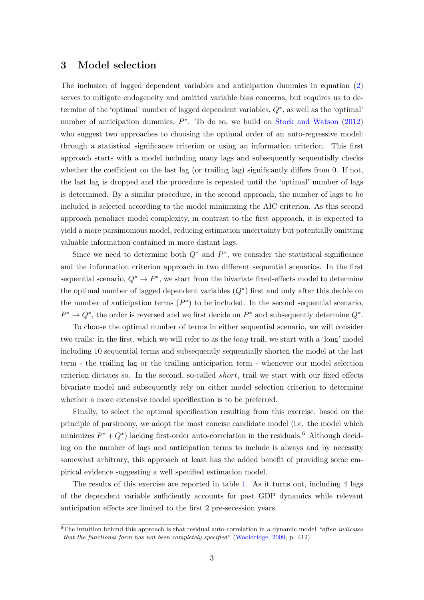## 3 Model selection

The inclusion of lagged dependent variables and anticipation dummies in equation (2) serves to mitigate endogeneity and omitted variable bias concerns, but requires us to determine of the 'optimal' number of lagged dependent variables,  $Q^*$ , as well as the 'optimal' number of anticipation dummies,  $P^*$ . To do so, we build on Stock and Watson (2012) who suggest two approaches to choosing the optimal order of an auto-regressive model: through a statistical significance criterion or using an information criterion. This first approach starts with a model including many lags and subsequently sequentially checks whether the coefficient on the last lag (or trailing lag) significantly differs from 0. If not, the last lag is dropped and the procedure is repeated until the 'optimal' number of lags is determined. By a similar procedure, in the second approach, the number of lags to be included is selected according to the model minimizing the AIC criterion. As this second approach penalizes model complexity, in contrast to the first approach, it is expected to yield a more parsimonious model, reducing estimation uncertainty but potentially omitting valuable information contained in more distant lags.

Since we need to determine both  $Q^*$  and  $P^*$ , we consider the statistical significance and the information criterion approach in two different sequential scenarios. In the first sequential scenario,  $Q^* \to P^*$ , we start from the bivariate fixed-effects model to determine the optimal number of lagged dependent variables  $(Q^*)$  first and only after this decide on the number of anticipation terms  $(P^*)$  to be included. In the second sequential scenario,  $P^* \to Q^*$ , the order is reversed and we first decide on  $P^*$  and subsequently determine  $Q^*$ .

To choose the optimal number of terms in either sequential scenario, we will consider two trails: in the first, which we will refer to as the *long* trail, we start with a 'long' model including 10 sequential terms and subsequently sequentially shorten the model at the last term - the trailing lag or the trailing anticipation term - whenever our model selection criterion dictates so. In the second, so-called short, trail we start with our fixed effects bivariate model and subsequently rely on either model selection criterion to determine whether a more extensive model specification is to be preferred.

Finally, to select the optimal specification resulting from this exercise, based on the principle of parsimony, we adopt the most concise candidate model (i.e. the model which minimizes  $P^* + Q^*$  lacking first-order auto-correlation in the residuals.<sup>6</sup> Although deciding on the number of lags and anticipation terms to include is always and by necessity somewhat arbitrary, this approach at least has the added benefit of providing some empirical evidence suggesting a well specified estimation model.

The results of this exercise are reported in table 1. As it turns out, including 4 lags of the dependent variable sufficiently accounts for past GDP dynamics while relevant anticipation effects are limited to the first 2 pre-secession years.

 $6$ The intuition behind this approach is that residual auto-correlation in a dynamic model "often indicates" that the functional form has not been completely specified" (Wooldridge, 2009, p. 412).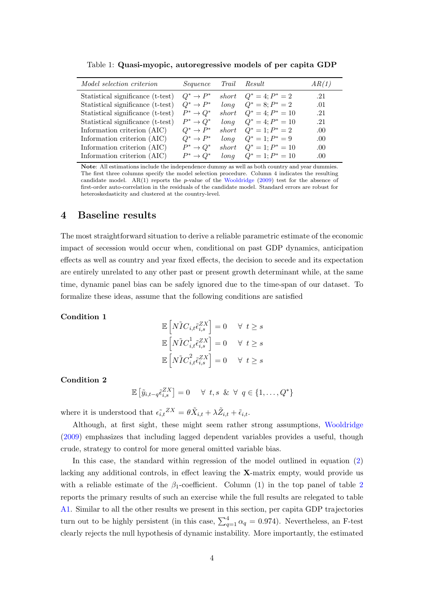| <i>Model selection criterion</i>  | Sequence      | Trail | Result                 | AR(1) |
|-----------------------------------|---------------|-------|------------------------|-------|
| Statistical significance (t-test) | $Q^* \to P^*$ | short | $Q^* = 4; P^* = 2$     | .21   |
| Statistical significance (t-test) | $Q^* \to P^*$ | long  | $Q^* = 8; P^* = 2$     | .01   |
| Statistical significance (t-test) | $P^* \to Q^*$ | short | $Q^* = 4$ ; $P^* = 10$ | -21   |
| Statistical significance (t-test) | $P^* \to Q^*$ | long  | $Q^* = 4$ ; $P^* = 10$ | .21   |
| Information criterion (AIC)       | $Q^* \to P^*$ | short | $Q^* = 1; P^* = 2$     | .00.  |
| Information criterion (AIC)       | $Q^* \to P^*$ | long  | $Q^* = 1; P^* = 9$     | .00.  |
| Information criterion (AIC)       | $P^* \to Q^*$ | short | $Q^* = 1; P^* = 10$    | .00.  |
| Information criterion (AIC)       | $P^* \to Q^*$ | lona  | $Q^* = 1; P^* = 10$    | .00   |
|                                   |               |       |                        |       |

Table 1: Quasi-myopic, autoregressive models of per capita GDP

Note: All estimations include the independence dummy as well as both country and year dummies. The first three columns specify the model selection procedure. Column 4 indicates the resulting candidate model. AR(1) reports the p-value of the Wooldridge (2009) test for the absence of first-order auto-correlation in the residuals of the candidate model. Standard errors are robust for heteroskedasticity and clustered at the country-level.

## 4 Baseline results

The most straightforward situation to derive a reliable parametric estimate of the economic impact of secession would occur when, conditional on past GDP dynamics, anticipation effects as well as country and year fixed effects, the decision to secede and its expectation are entirely unrelated to any other past or present growth determinant while, at the same time, dynamic panel bias can be safely ignored due to the time-span of our dataset. To formalize these ideas, assume that the following conditions are satisfied

#### Condition 1

$$
\mathbb{E}\left[N\tilde{I}C_{i,t}\tilde{\epsilon}_{i,s}^{ZX}\right] = 0 \quad \forall \ t \ge s
$$

$$
\mathbb{E}\left[N\tilde{I}C_{i,t}^{1}\tilde{\epsilon}_{i,s}^{ZX}\right] = 0 \quad \forall \ t \ge s
$$

$$
\mathbb{E}\left[N\tilde{I}C_{i,t}^{2}\tilde{\epsilon}_{i,s}^{ZX}\right] = 0 \quad \forall \ t \ge s
$$

#### Condition 2

$$
\mathbb{E}\left[\tilde{y}_{i,t-q}\tilde{\epsilon}_{i,s}^{ZX}\right] = 0 \quad \forall \ t,s \ \& \ \forall \ q \in \{1,\ldots,Q^*\}
$$

where it is understood that  $\epsilon_{i,t}^{z}z_{i}^{X} = \theta \tilde{X}_{i,t} + \lambda \tilde{Z}_{i,t} + \tilde{\epsilon}_{i,t}$ .

Although, at first sight, these might seem rather strong assumptions, Wooldridge (2009) emphasizes that including lagged dependent variables provides a useful, though crude, strategy to control for more general omitted variable bias.

In this case, the standard within regression of the model outlined in equation (2) lacking any additional controls, in effect leaving the X-matrix empty, would provide us with a reliable estimate of the  $\beta_1$ -coefficient. Column (1) in the top panel of table 2 reports the primary results of such an exercise while the full results are relegated to table A1. Similar to all the other results we present in this section, per capita GDP trajectories turn out to be highly persistent (in this case,  $\sum_{q=1}^{4} \alpha_q = 0.974$ ). Nevertheless, an F-test clearly rejects the null hypothesis of dynamic instability. More importantly, the estimated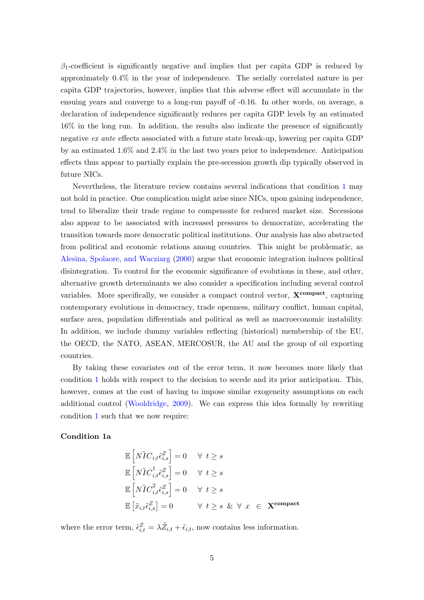$\beta_1$ -coefficient is significantly negative and implies that per capita GDP is reduced by approximately 0.4% in the year of independence. The serially correlated nature in per capita GDP trajectories, however, implies that this adverse effect will accumulate in the ensuing years and converge to a long-run payoff of -0.16. In other words, on average, a declaration of independence significantly reduces per capita GDP levels by an estimated 16% in the long run. In addition, the results also indicate the presence of significantly negative ex ante effects associated with a future state break-up, lowering per capita GDP by an estimated 1.6% and 2.4% in the last two years prior to independence. Anticipation effects thus appear to partially explain the pre-secession growth dip typically observed in future NICs.

Nevertheless, the literature review contains several indications that condition 1 may not hold in practice. One complication might arise since NICs, upon gaining independence, tend to liberalize their trade regime to compensate for reduced market size. Secessions also appear to be associated with increased pressures to democratize, accelerating the transition towards more democratic political institutions. Our analysis has also abstracted from political and economic relations among countries. This might be problematic, as Alesina, Spolaore, and Wacziarg (2000) argue that economic integration induces political disintegration. To control for the economic significance of evolutions in these, and other, alternative growth determinants we also consider a specification including several control variables. More specifically, we consider a compact control vector,  $\mathbf{X}^{\text{compact}}$ , capturing contemporary evolutions in democracy, trade openness, military conflict, human capital, surface area, population differentials and political as well as macroeconomic instability. In addition, we include dummy variables reflecting (historical) membership of the EU, the OECD, the NATO, ASEAN, MERCOSUR, the AU and the group of oil exporting countries.

By taking these covariates out of the error term, it now becomes more likely that condition 1 holds with respect to the decision to secede and its prior anticipation. This, however, comes at the cost of having to impose similar exogeneity assumptions on each additional control (Wooldridge, 2009). We can express this idea formally by rewriting condition 1 such that we now require:

#### Condition 1a

$$
\mathbb{E}\left[N\tilde{I}C_{i,t}\tilde{\epsilon}_{i,s}^{Z}\right] = 0 \quad \forall \ t \ge s
$$
\n
$$
\mathbb{E}\left[N\tilde{I}C_{i,t}^{1}\tilde{\epsilon}_{i,s}^{Z}\right] = 0 \quad \forall \ t \ge s
$$
\n
$$
\mathbb{E}\left[N\tilde{I}C_{i,t}^{2}\tilde{\epsilon}_{i,s}^{Z}\right] = 0 \quad \forall \ t \ge s
$$
\n
$$
\mathbb{E}\left[\tilde{x}_{i,t}\tilde{\epsilon}_{i,s}^{Z}\right] = 0 \quad \forall \ t \ge s \ \& \ \forall \ x \in \mathbf{X}^{\text{compact}}
$$

where the error term,  $\tilde{\epsilon}_{i,t}^Z = \lambda \tilde{Z}_{i,t} + \tilde{\epsilon}_{i,t}$ , now contains less information.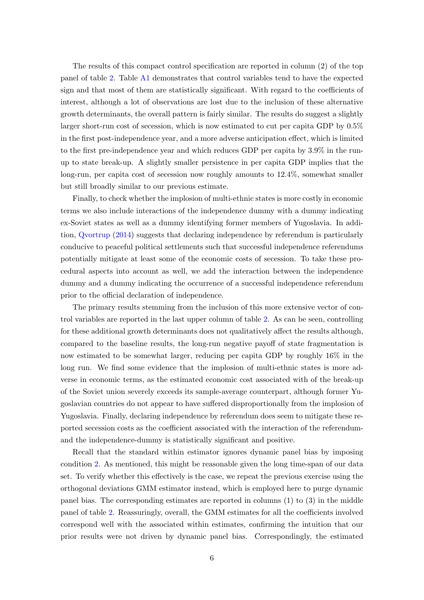The results of this compact control specification are reported in column (2) of the top panel of table 2. Table A1 demonstrates that control variables tend to have the expected sign and that most of them are statistically significant. With regard to the coefficients of interest, although a lot of observations are lost due to the inclusion of these alternative growth determinants, the overall pattern is fairly similar. The results do suggest a slightly larger short-run cost of secession, which is now estimated to cut per capita GDP by 0.5% in the first post-independence year, and a more adverse anticipation effect, which is limited to the first pre-independence year and which reduces GDP per capita by 3.9% in the runup to state break-up. A slightly smaller persistence in per capita GDP implies that the long-run, per capita cost of secession now roughly amounts to 12.4%, somewhat smaller but still broadly similar to our previous estimate.

Finally, to check whether the implosion of multi-ethnic states is more costly in economic terms we also include interactions of the independence dummy with a dummy indicating ex-Soviet states as well as a dummy identifying former members of Yugoslavia. In addition, Qvortrup (2014) suggests that declaring independence by referendum is particularly conducive to peaceful political settlements such that successful independence referendums potentially mitigate at least some of the economic costs of secession. To take these procedural aspects into account as well, we add the interaction between the independence dummy and a dummy indicating the occurrence of a successful independence referendum prior to the official declaration of independence.

The primary results stemming from the inclusion of this more extensive vector of control variables are reported in the last upper column of table 2. As can be seen, controlling for these additional growth determinants does not qualitatively affect the results although, compared to the baseline results, the long-run negative payoff of state fragmentation is now estimated to be somewhat larger, reducing per capita GDP by roughly 16% in the long run. We find some evidence that the implosion of multi-ethnic states is more adverse in economic terms, as the estimated economic cost associated with of the break-up of the Soviet union severely exceeds its sample-average counterpart, although former Yugoslavian countries do not appear to have suffered disproportionally from the implosion of Yugoslavia. Finally, declaring independence by referendum does seem to mitigate these reported secession costs as the coefficient associated with the interaction of the referendumand the independence-dummy is statistically significant and positive.

Recall that the standard within estimator ignores dynamic panel bias by imposing condition 2. As mentioned, this might be reasonable given the long time-span of our data set. To verify whether this effectively is the case, we repeat the previous exercise using the orthogonal deviations GMM estimator instead, which is employed here to purge dynamic panel bias. The corresponding estimates are reported in columns (1) to (3) in the middle panel of table 2. Reassuringly, overall, the GMM estimates for all the coefficients involved correspond well with the associated within estimates, confirming the intuition that our prior results were not driven by dynamic panel bias. Correspondingly, the estimated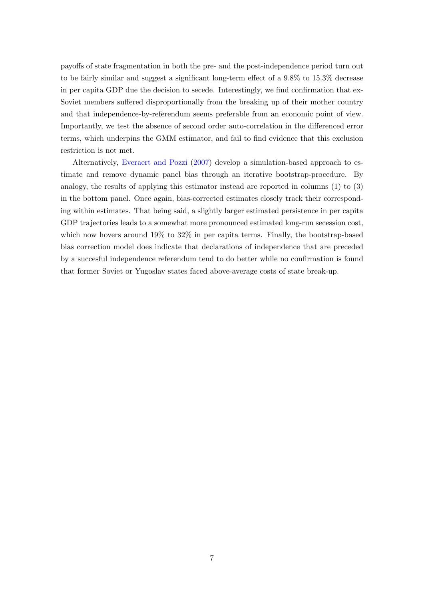payoffs of state fragmentation in both the pre- and the post-independence period turn out to be fairly similar and suggest a significant long-term effect of a 9.8% to 15.3% decrease in per capita GDP due the decision to secede. Interestingly, we find confirmation that ex-Soviet members suffered disproportionally from the breaking up of their mother country and that independence-by-referendum seems preferable from an economic point of view. Importantly, we test the absence of second order auto-correlation in the differenced error terms, which underpins the GMM estimator, and fail to find evidence that this exclusion restriction is not met.

Alternatively, Everaert and Pozzi (2007) develop a simulation-based approach to estimate and remove dynamic panel bias through an iterative bootstrap-procedure. By analogy, the results of applying this estimator instead are reported in columns (1) to (3) in the bottom panel. Once again, bias-corrected estimates closely track their corresponding within estimates. That being said, a slightly larger estimated persistence in per capita GDP trajectories leads to a somewhat more pronounced estimated long-run secession cost, which now hovers around 19% to 32% in per capita terms. Finally, the bootstrap-based bias correction model does indicate that declarations of independence that are preceded by a succesful independence referendum tend to do better while no confirmation is found that former Soviet or Yugoslav states faced above-average costs of state break-up.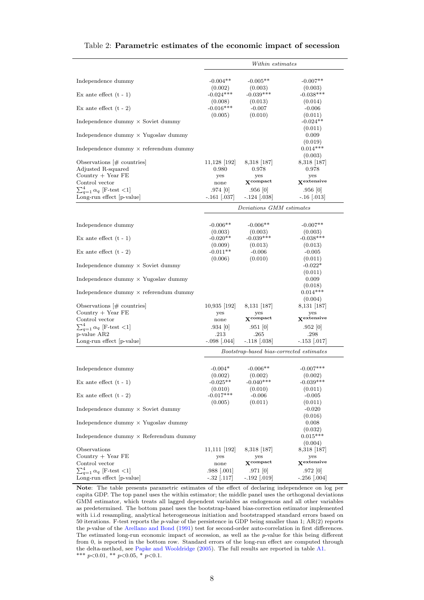|                                                                    | Within estimates                         |                                      |                              |
|--------------------------------------------------------------------|------------------------------------------|--------------------------------------|------------------------------|
|                                                                    |                                          |                                      |                              |
| Independence dummy                                                 | $-0.004**$                               | $-0.005**$                           | $-0.007**$                   |
| Ex ante effect $(t - 1)$                                           | (0.002)<br>$-0.024***$                   | (0.003)<br>$-0.039***$               | (0.003)<br>$-0.038***$       |
|                                                                    | (0.008)                                  | (0.013)                              | (0.014)                      |
| Ex ante effect $(t - 2)$                                           | $-0.016***$                              | $-0.007$                             | $-0.006$                     |
| Independence dummy $\times$ Soviet dummy                           | (0.005)                                  | (0.010)                              | (0.011)<br>$-0.024**$        |
|                                                                    |                                          |                                      | (0.011)                      |
| Independence dummy $\times$ Yugoslav dummy                         |                                          |                                      | 0.009                        |
| Independence dummy $\times$ referendum dummy                       |                                          |                                      | (0.019)<br>$0.014***$        |
|                                                                    |                                          |                                      | (0.003)                      |
| Observations $#$ countries<br>Adjusted R-squared                   | 11,128  192 <br>0.980                    | 8,318   187 <br>0.978                | 8,318   187  <br>0.978       |
| Country $+$ Year FE                                                | yes                                      | yes                                  | yes                          |
| Control vector                                                     | none                                     | $\mathbf{X}^{\text{compact}}$        | <b>X</b> extensive           |
| $\sum_{q=1}^{4} \alpha_q$ [F-test <1]                              | .974 0                                   | .956 0                               | .956 0                       |
| Long-run effect  p-value                                           | $-.161$ $ .037$                          | $-.124$ $(.038)$                     | $-.16$ [.013]                |
|                                                                    |                                          | Deviations GMM estimates             |                              |
| Independence dummy                                                 | $-0.006**$                               | $-0.006**$                           | $-0.007**$                   |
|                                                                    | (0.003)                                  | (0.003)                              | (0.003)                      |
| Ex ante effect $(t - 1)$                                           | $-0.020**$                               | $-0.039***$                          | $-0.038***$                  |
|                                                                    | (0.009)                                  | (0.013)                              | (0.013)                      |
| Ex ante effect $(t - 2)$                                           | $-0.011**$<br>(0.006)                    | $-0.006$<br>(0.010)                  | $-0.005$<br>(0.011)          |
| Independence dummy $\times$ Soviet dummy                           |                                          |                                      | $-0.022*$                    |
|                                                                    |                                          |                                      | (0.011)                      |
| Independence dummy $\times$ Yugoslav dummy                         |                                          |                                      | 0.009                        |
| Independence dummy $\times$ referendum dummy                       |                                          |                                      | (0.018)<br>$0.014***$        |
|                                                                    |                                          |                                      | (0.004)                      |
| Observations $ \#$ countries                                       | 10,935  192                              | 8,131  187                           | 8,131  187                   |
| Country $+$ Year FE<br>Control vector                              | yes<br>none                              | yes<br>$\mathbf{X}^{\text{compact}}$ | yes<br><b>X</b> extensive    |
| $\sum_{q=1}^4 \alpha_q$ [F-test <1]                                | .934 0                                   | .951 0                               | .952 [0]                     |
| p-value AR2                                                        | .213                                     | .265                                 | .298                         |
| Long-run effect [p-value]                                          | $-.098$ [.044]                           | $-.118$ $(.038)$                     | $-.153$ [.017]               |
|                                                                    | Bootstrap-based bias-corrected estimates |                                      |                              |
|                                                                    | $-0.004*$                                | $-0.006**$                           | $-0.007***$                  |
| Independence dummy                                                 | (0.002)                                  | (0.002)                              | (0.002)                      |
| Ex ante effect $(t - 1)$                                           | $-0.025**$                               | $-0.040***$                          | $-0.039***$                  |
|                                                                    | (0.010)<br>$-0.017***$                   | (0.010)                              | (0.011)                      |
| Ex ante effect $(t - 2)$                                           | (0.005)                                  | $-0.006$<br>(0.011)                  | $-0.005$<br>(0.011)          |
| Independence dummy $\times$ Soviet dummy                           |                                          |                                      | $-0.020$                     |
|                                                                    |                                          |                                      | (0.016)                      |
| Independence dummy $\times$ Yugoslav dummy                         |                                          |                                      | 0.008<br>(0.032)             |
| Independence dummy $\times$ Referendum dummy                       |                                          |                                      | $0.015***$                   |
| Observations                                                       | 11,111  192                              | 8,318   187                          | (0.004)<br>8,318 [187]       |
| Country $+$ Year FE                                                | yes                                      | yes                                  | yes                          |
| Control vector                                                     | none                                     | $\mathbf{X}$ compact                 | Xextensive                   |
| $\sum_{q=1}^{4} \alpha_q$ [F-test <1]<br>Long-run effect [p-value] | $.988$ $[.001]$<br>$-.32$ [.117]         | .971 0 <br>$-.192$ [.019]            | .972 [0]<br>$-.256$ $ .004]$ |
|                                                                    |                                          |                                      |                              |

#### Table 2: Parametric estimates of the economic impact of secession

Note: The table presents parametric estimates of the effect of declaring independence on log per capita GDP. The top panel uses the within estimator; the middle panel uses the orthogonal deviations GMM estimator, which treats all lagged dependent variables as endogenous and all other variables as predetermined. The bottom panel uses the bootstrap-based bias-correction estimator implemented with i.i.d resampling, analytical heterogeneous initiation and bootstrapped standard errors based on 50 iterations. F-test reports the p-value of the persistence in GDP being smaller than 1; AR(2) reports the p-value of the Arellano and Bond (1991) test for second-order auto-correlation in first differences. The estimated long-run economic impact of secession, as well as the  $p$ -value for this being different from 0, is reported in the bottom row. Standard errors of the long-run effect are computed through the delta-method, see Papke and Wooldridge (2005). The full results are reported in table A1. \*\*\*  $p<0.01$ , \*\*  $p<0.05$ , \*  $p<0.1$ .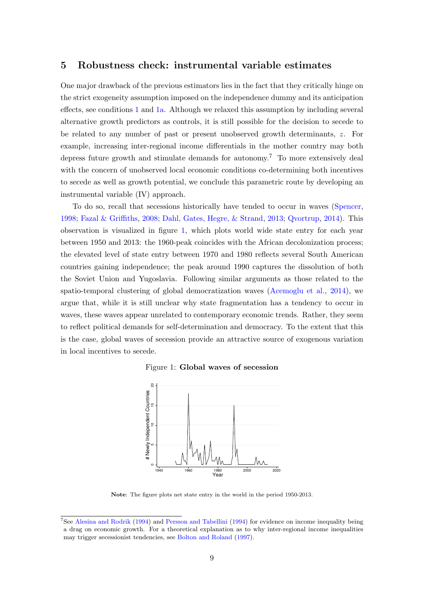### 5 Robustness check: instrumental variable estimates

One major drawback of the previous estimators lies in the fact that they critically hinge on the strict exogeneity assumption imposed on the independence dummy and its anticipation effects, see conditions 1 and 1a. Although we relaxed this assumption by including several alternative growth predictors as controls, it is still possible for the decision to secede to be related to any number of past or present unobserved growth determinants, z. For example, increasing inter-regional income differentials in the mother country may both depress future growth and stimulate demands for autonomy.<sup>7</sup> To more extensively deal with the concern of unobserved local economic conditions co-determining both incentives to secede as well as growth potential, we conclude this parametric route by developing an instrumental variable (IV) approach.

To do so, recall that secessions historically have tended to occur in waves (Spencer, 1998; Fazal & Griffiths, 2008; Dahl, Gates, Hegre, & Strand, 2013; Qvortrup, 2014). This observation is visualized in figure 1, which plots world wide state entry for each year between 1950 and 2013: the 1960-peak coincides with the African decolonization process; the elevated level of state entry between 1970 and 1980 reflects several South American countries gaining independence; the peak around 1990 captures the dissolution of both the Soviet Union and Yugoslavia. Following similar arguments as those related to the spatio-temporal clustering of global democratization waves (Acemoglu et al., 2014), we argue that, while it is still unclear why state fragmentation has a tendency to occur in waves, these waves appear unrelated to contemporary economic trends. Rather, they seem to reflect political demands for self-determination and democracy. To the extent that this is the case, global waves of secession provide an attractive source of exogenous variation in local incentives to secede.

Figure 1: Global waves of secession



Note: The figure plots net state entry in the world in the period 1950-2013.

<sup>7</sup>See Alesina and Rodrik (1994) and Persson and Tabellini (1994) for evidence on income inequality being a drag on economic growth. For a theoretical explanation as to why inter-regional income inequalities may trigger secessionist tendencies, see Bolton and Roland (1997).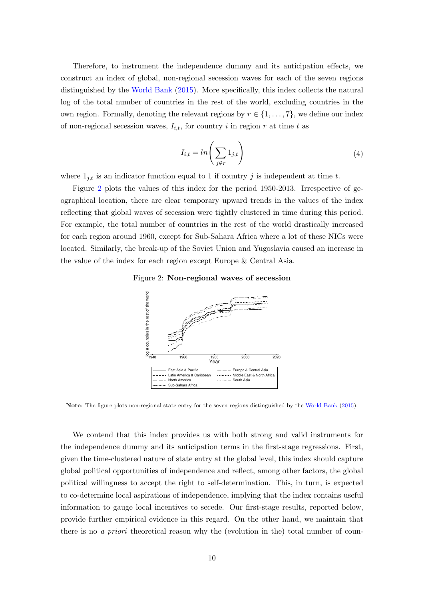Therefore, to instrument the independence dummy and its anticipation effects, we construct an index of global, non-regional secession waves for each of the seven regions distinguished by the World Bank (2015). More specifically, this index collects the natural log of the total number of countries in the rest of the world, excluding countries in the own region. Formally, denoting the relevant regions by  $r \in \{1, \ldots, 7\}$ , we define our index of non-regional secession waves,  $I_{i,t}$ , for country i in region r at time t as

$$
I_{i,t} = \ln\left(\sum_{j \notin r} 1_{j,t}\right) \tag{4}
$$

where  $1_{j,t}$  is an indicator function equal to 1 if country j is independent at time t.

Figure 2 plots the values of this index for the period 1950-2013. Irrespective of geographical location, there are clear temporary upward trends in the values of the index reflecting that global waves of secession were tightly clustered in time during this period. For example, the total number of countries in the rest of the world drastically increased for each region around 1960, except for Sub-Sahara Africa where a lot of these NICs were located. Similarly, the break-up of the Soviet Union and Yugoslavia caused an increase in the value of the index for each region except Europe & Central Asia.





Note: The figure plots non-regional state entry for the seven regions distinguished by the World Bank (2015).

We contend that this index provides us with both strong and valid instruments for the independence dummy and its anticipation terms in the first-stage regressions. First, given the time-clustered nature of state entry at the global level, this index should capture global political opportunities of independence and reflect, among other factors, the global political willingness to accept the right to self-determination. This, in turn, is expected to co-determine local aspirations of independence, implying that the index contains useful information to gauge local incentives to secede. Our first-stage results, reported below, provide further empirical evidence in this regard. On the other hand, we maintain that there is no *a priori* theoretical reason why the (evolution in the) total number of coun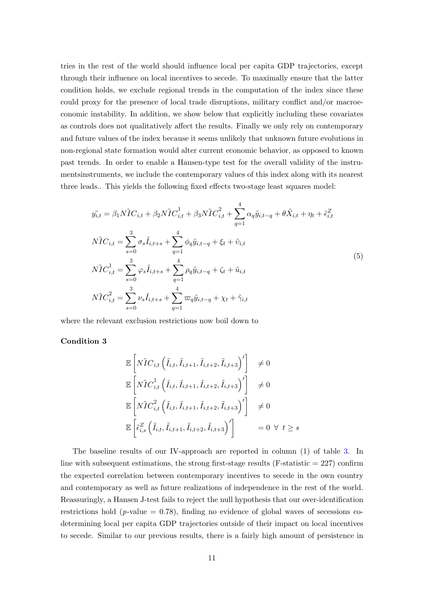tries in the rest of the world should influence local per capita GDP trajectories, except through their influence on local incentives to secede. To maximally ensure that the latter condition holds, we exclude regional trends in the computation of the index since these could proxy for the presence of local trade disruptions, military conflict and/or macroeconomic instability. In addition, we show below that explicitly including these covariates as controls does not qualitatively affect the results. Finally we only rely on contemporary and future values of the index because it seems unlikely that unknown future evolutions in non-regional state formation would alter current economic behavior, as opposed to known past trends. In order to enable a Hansen-type test for the overall validity of the instrumentsinstruments, we include the contemporary values of this index along with its nearest three leads.. This yields the following fixed effects two-stage least squares model:

$$
\tilde{y}_{i,t} = \beta_1 N \tilde{I} C_{i,t} + \beta_2 N \tilde{I} C_{i,t}^1 + \beta_3 N \tilde{I} C_{i,t}^2 + \sum_{q=1}^4 \alpha_q \tilde{y}_{i,t-q} + \theta \tilde{X}_{i,t} + \eta_t + \tilde{\epsilon}_{i,t}^Z
$$
\n
$$
N \tilde{I} C_{i,t} = \sum_{s=0}^3 \sigma_s \tilde{I}_{i,t+s} + \sum_{q=1}^4 \phi_q \tilde{y}_{i,t-q} + \xi_t + \tilde{v}_{i,t}
$$
\n
$$
N \tilde{I} C_{i,t}^1 = \sum_{s=0}^3 \varphi_s \tilde{I}_{i,t+s} + \sum_{q=1}^4 \rho_q \tilde{y}_{i,t-q} + \zeta_t + \tilde{u}_{i,t}
$$
\n
$$
N \tilde{I} C_{i,t}^2 = \sum_{s=0}^3 \nu_s \tilde{I}_{i,t+s} + \sum_{q=1}^4 \varpi_q \tilde{y}_{i,t-q} + \chi_t + \tilde{\gamma}_{i,t}
$$
\n
$$
(5)
$$

where the relevant exclusion restrictions now boil down to

#### Condition 3

$$
\mathbb{E}\left[N\tilde{I}C_{i,t}\left(\tilde{I}_{i,t},\tilde{I}_{i,t+1},\tilde{I}_{i,t+2},\tilde{I}_{i,t+3}\right)'\right] \neq 0
$$
\n
$$
\mathbb{E}\left[N\tilde{I}C_{i,t}^{1}\left(\tilde{I}_{i,t},\tilde{I}_{i,t+1},\tilde{I}_{i,t+2},\tilde{I}_{i,t+3}\right)'\right] \neq 0
$$
\n
$$
\mathbb{E}\left[N\tilde{I}C_{i,t}^{2}\left(\tilde{I}_{i,t},\tilde{I}_{i,t+1},\tilde{I}_{i,t+2},\tilde{I}_{i,t+3}\right)'\right] \neq 0
$$
\n
$$
\mathbb{E}\left[\tilde{\epsilon}_{i,s}^{Z}\left(\tilde{I}_{i,t},\tilde{I}_{i,t+1},\tilde{I}_{i,t+2},\tilde{I}_{i,t+3}\right)'\right] = 0 \quad \forall \quad t \geq s
$$

The baseline results of our IV-approach are reported in column (1) of table 3. In line with subsequent estimations, the strong first-stage results (F-statistic  $= 227$ ) confirm the expected correlation between contemporary incentives to secede in the own country and contemporary as well as future realizations of independence in the rest of the world. Reassuringly, a Hansen J-test fails to reject the null hypothesis that our over-identification restrictions hold (*p*-value  $= 0.78$ ), finding no evidence of global waves of secessions codetermining local per capita GDP trajectories outside of their impact on local incentives to secede. Similar to our previous results, there is a fairly high amount of persistence in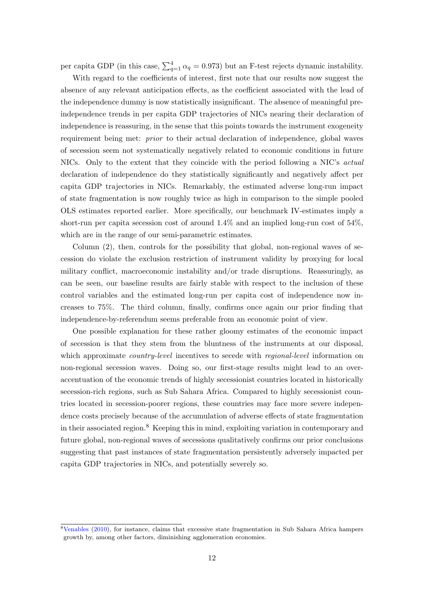per capita GDP (in this case,  $\sum_{q=1}^{4} \alpha_q = 0.973$ ) but an F-test rejects dynamic instability.

With regard to the coefficients of interest, first note that our results now suggest the absence of any relevant anticipation effects, as the coefficient associated with the lead of the independence dummy is now statistically insignificant. The absence of meaningful preindependence trends in per capita GDP trajectories of NICs nearing their declaration of independence is reassuring, in the sense that this points towards the instrument exogeneity requirement being met: prior to their actual declaration of independence, global waves of secession seem not systematically negatively related to economic conditions in future NICs. Only to the extent that they coincide with the period following a NIC's actual declaration of independence do they statistically significantly and negatively affect per capita GDP trajectories in NICs. Remarkably, the estimated adverse long-run impact of state fragmentation is now roughly twice as high in comparison to the simple pooled OLS estimates reported earlier. More specifically, our benchmark IV-estimates imply a short-run per capita secession cost of around 1.4% and an implied long-run cost of 54%, which are in the range of our semi-parametric estimates.

Column (2), then, controls for the possibility that global, non-regional waves of secession do violate the exclusion restriction of instrument validity by proxying for local military conflict, macroeconomic instability and/or trade disruptions. Reassuringly, as can be seen, our baseline results are fairly stable with respect to the inclusion of these control variables and the estimated long-run per capita cost of independence now increases to 75%. The third column, finally, confirms once again our prior finding that independence-by-referendum seems preferable from an economic point of view.

One possible explanation for these rather gloomy estimates of the economic impact of secession is that they stem from the bluntness of the instruments at our disposal, which approximate *country-level* incentives to secede with *regional-level* information on non-regional secession waves. Doing so, our first-stage results might lead to an overaccentuation of the economic trends of highly secessionist countries located in historically secession-rich regions, such as Sub Sahara Africa. Compared to highly secessionist countries located in secession-poorer regions, these countries may face more severe independence costs precisely because of the accumulation of adverse effects of state fragmentation in their associated region.<sup>8</sup> Keeping this in mind, exploiting variation in contemporary and future global, non-regional waves of secessions qualitatively confirms our prior conclusions suggesting that past instances of state fragmentation persistently adversely impacted per capita GDP trajectories in NICs, and potentially severely so.

<sup>8</sup>Venables (2010), for instance, claims that excessive state fragmentation in Sub Sahara Africa hampers growth by, among other factors, diminishing agglomeration economies.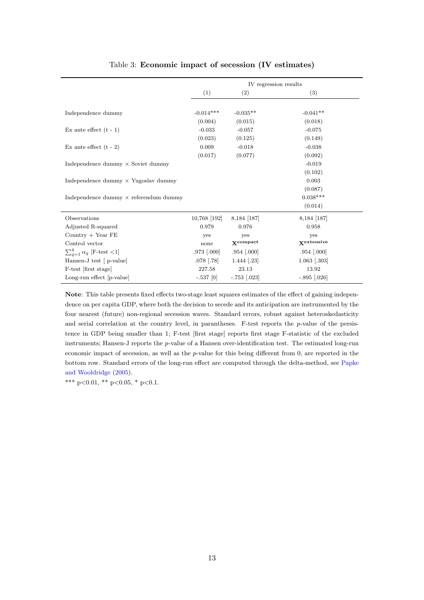|                                              | IV regression results |                               |                    |
|----------------------------------------------|-----------------------|-------------------------------|--------------------|
|                                              | (1)                   | (2)                           | (3)                |
|                                              |                       |                               |                    |
| Independence dummy                           | $-0.014***$           | $-0.035**$                    | $-0.041**$         |
|                                              | (0.004)               | (0.015)                       | (0.018)            |
| Ex ante effect $(t - 1)$                     | $-0.033$              | $-0.057$                      | $-0.075$           |
|                                              | (0.023)               | (0.125)                       | (0.149)            |
| Ex ante effect $(t - 2)$                     | 0.009                 | $-0.018$                      | $-0.038$           |
|                                              | (0.017)               | (0.077)                       | (0.092)            |
| Independence dummy $\times$ Soviet dummy     |                       |                               | $-0.019$           |
|                                              |                       |                               | (0.102)            |
| Independence dummy $\times$ Yugoslav dummy   |                       |                               | 0.003              |
|                                              |                       |                               | (0.087)            |
| Independence dummy $\times$ referendum dummy |                       |                               | $0.038***$         |
|                                              |                       |                               | (0.014)            |
| Observations                                 | 10,768 [192]          | 8,184 [187]                   | 8,184 [187]        |
| Adjusted R-squared                           | 0.979                 | 0.976                         | 0.958              |
| Country $+$ Year FE                          | yes                   | yes                           | yes                |
| Control vector                               | none                  | $\mathbf{X}^{\text{compact}}$ | <b>X</b> extensive |
| $\sum_{q=1}^{4} \alpha_q$ [F-test <1]        | $.973$ $[.000]$       | $.954$ [.000]                 | $.954$ $[.000]$    |
| Hansen-J test [ p-value]                     | $.078$ [.78]          | $1.444$ [.23]                 | $1.063$ [.303]     |
| F-test [first stage]                         | 227.58                | 23.13                         | 13.92              |
| Long-run effect [p-value]                    | $-.537$ [0]           | $-.753$ [.023]                | $-.895$ [.026]     |

#### Table 3: Economic impact of secession (IV estimates)

Note: This table presents fixed effects two-stage least squares estimates of the effect of gaining independence on per capita GDP, where both the decision to secede and its anticipation are instrumented by the four nearest (future) non-regional secession waves. Standard errors, robust against heteroskedasticity and serial correlation at the country level, in parantheses. F-test reports the  $p$ -value of the persistence in GDP being smaller than 1; F-test [first stage] reports first stage F-statistic of the excluded instruments; Hansen-J reports the p-value of a Hansen over-identification test. The estimated long-run economic impact of secession, as well as the  $p$ -value for this being different from  $0$ , are reported in the bottom row. Standard errors of the long-run effect are computed through the delta-method, see Papke and Wooldridge (2005).

\*\*\* p<0.01, \*\* p<0.05, \* p<0.1.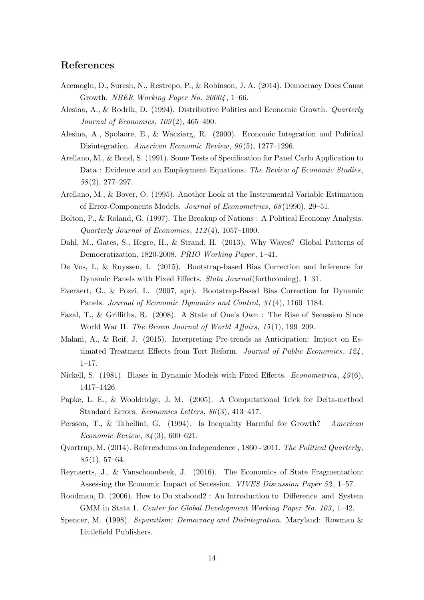# References

- Acemoglu, D., Suresh, N., Restrepo, P., & Robinson, J. A. (2014). Democracy Does Cause Growth. NBER Working Paper No. 20004, 1–66.
- Alesina, A., & Rodrik, D. (1994). Distributive Politics and Economic Growth. Quarterly Journal of Economics, 109 (2), 465–490.
- Alesina, A., Spolaore, E., & Wacziarg, R. (2000). Economic Integration and Political Disintegration. American Economic Review, 90(5), 1277–1296.
- Arellano, M., & Bond, S. (1991). Some Tests of Specification for Panel Carlo Application to Data : Evidence and an Employment Equations. The Review of Economic Studies, 58 (2), 277–297.
- Arellano, M., & Bover, O. (1995). Another Look at the Instrumental Variable Estimation of Error-Components Models. Journal of Econometrics, 68 (1990), 29–51.
- Bolton, P., & Roland, G. (1997). The Breakup of Nations : A Political Economy Analysis. Quarterly Journal of Economics, 112 (4), 1057–1090.
- Dahl, M., Gates, S., Hegre, H., & Strand, H. (2013). Why Waves? Global Patterns of Democratization, 1820-2008. PRIO Working Paper, 1-41.
- De Vos, I., & Ruyssen, I. (2015). Bootstrap-based Bias Correction and Inference for Dynamic Panels with Fixed Effects. Stata Journal(forthcoming), 1–31.
- Everaert, G., & Pozzi, L. (2007, apr). Bootstrap-Based Bias Correction for Dynamic Panels. Journal of Economic Dynamics and Control, 31(4), 1160–1184.
- Fazal, T., & Griffiths, R. (2008). A State of One's Own : The Rise of Secession Since World War II. The Brown Journal of World Affairs, 15(1), 199–209.
- Malani, A., & Reif, J. (2015). Interpreting Pre-trends as Anticipation: Impact on Estimated Treatment Effects from Tort Reform. Journal of Public Economics, 124 ,  $1-17.$
- Nickell, S. (1981). Biases in Dynamic Models with Fixed Effects. *Econometrica*,  $49(6)$ , 1417–1426.
- Papke, L. E., & Wooldridge, J. M. (2005). A Computational Trick for Delta-method Standard Errors. Economics Letters, 86 (3), 413–417.
- Persson, T., & Tabellini, G. (1994). Is Inequality Harmful for Growth? American Economic Review, 84 (3), 600–621.
- Qvortrup, M. (2014). Referendums on Independence , 1860 2011. The Political Quarterly,  $85(1), 57-64.$
- Reynaerts, J., & Vanschoonbeek, J. (2016). The Economics of State Fragmentation: Assessing the Economic Impact of Secession. VIVES Discussion Paper 52 , 1–57.
- Roodman, D. (2006). How to Do xtabond2 : An Introduction to Difference and System GMM in Stata 1. Center for Global Development Working Paper No. 103, 1–42.
- Spencer, M. (1998). Separatism: Democracy and Disintegration. Maryland: Rowman & Littlefield Publishers.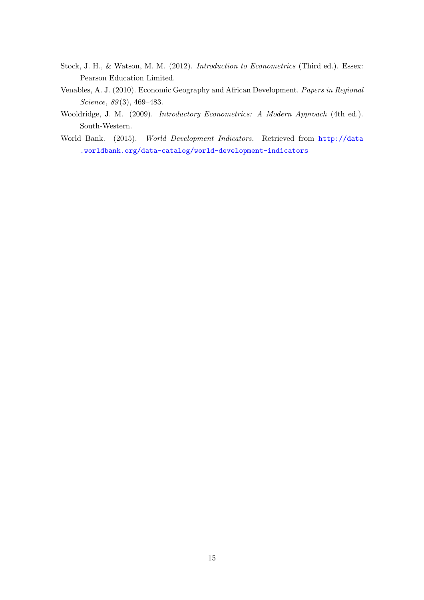- Stock, J. H., & Watson, M. M. (2012). Introduction to Econometrics (Third ed.). Essex: Pearson Education Limited.
- Venables, A. J. (2010). Economic Geography and African Development. Papers in Regional Science, 89(3), 469-483.
- Wooldridge, J. M. (2009). Introductory Econometrics: A Modern Approach (4th ed.). South-Western.
- World Bank. (2015). World Development Indicators. Retrieved from http://data .worldbank.org/data-catalog/world-development-indicators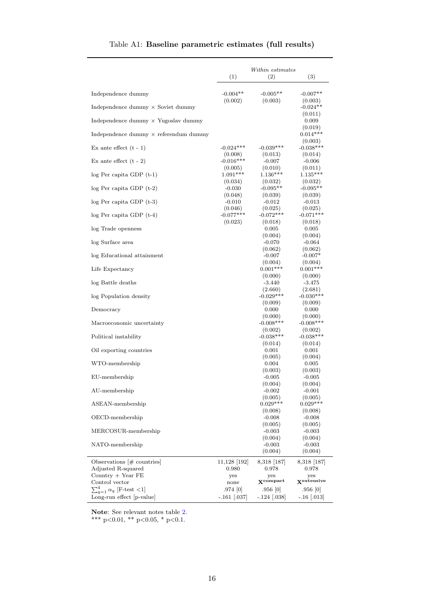|                                              | Within estimates       |                               |                        |
|----------------------------------------------|------------------------|-------------------------------|------------------------|
|                                              | (1)                    | (2)                           | (3)                    |
| Independence dummy                           | $-0.004**$             | $-0.005**$                    | $-0.007**$             |
| Independence dummy $\times$ Soviet dummy     | (0.002)                | (0.003)                       | (0.003)<br>$-0.024**$  |
|                                              |                        |                               | (0.011)                |
| Independence dummy $\times$ Yugoslav dummy   |                        |                               | 0.009<br>(0.019)       |
| Independence dummy $\times$ referendum dummy |                        |                               | $0.014***$             |
| Ex ante effect $(t - 1)$                     | $-0.024***$            | $-0.039***$                   | (0.003)<br>$-0.038***$ |
|                                              | (0.008)                | (0.013)                       | (0.014)                |
| Ex ante effect $(t - 2)$                     | $-0.016***$<br>(0.005) | $-0.007$<br>(0.010)           | $-0.006$<br>(0.011)    |
| $log Per capita GDP(t-1)$                    | $1.091***$             | $1.136***$                    | $1.135***$             |
| $log Per capita GDP(t-2)$                    | (0.034)<br>$-0.030$    | (0.032)<br>$-0.095**$         | (0.032)<br>$-0.095**$  |
|                                              | (0.048)                | (0.039)                       | (0.039)                |
| $log Per capita GDP(t-3)$                    | $-0.010$<br>(0.046)    | $-0.012$<br>(0.025)           | $-0.013$<br>(0.025)    |
| $log Per capita GDP(t-4)$                    | $-0.077***$            | $-0.072***$                   | $-0.071***$            |
|                                              | (0.023)                | (0.018)                       | (0.018)                |
| log Trade openness                           |                        | 0.005                         | 0.005                  |
| log Surface area                             |                        | (0.004)<br>$-0.070$           | (0.004)<br>$-0.064$    |
|                                              |                        | (0.062)                       | (0.062)                |
| log Educational attainment                   |                        | $-0.007$                      | $-0.007*$              |
|                                              |                        | (0.004)                       | (0.004)                |
| Life Expectancy                              |                        | $0.001***$<br>(0.000)         | $0.001***$<br>(0.000)  |
| log Battle deaths                            |                        | $-3.440$                      | $-3.475$               |
|                                              |                        | (2.660)                       | (2.681)                |
| log Population density                       |                        | $-0.029***$                   | $-0.030***$            |
|                                              |                        | (0.009)                       | (0.009)                |
| Democracy                                    |                        | 0.000<br>(0.000)              | 0.000<br>(0.000)       |
| Macroeconomic uncertainty                    |                        | $-0.008***$                   | $-0.008***$            |
| Political instability                        |                        | (0.002)<br>$-0.038***$        | (0.002)<br>$-0.038***$ |
|                                              |                        | (0.014)                       | (0.014)                |
| Oil exporting countries                      |                        | 0.001                         | 0.001                  |
|                                              |                        | (0.005)                       | (0.004)                |
| WTO-membership                               |                        | 0.004<br>(0.003)              | 0.005<br>(0.003)       |
| $EU$ -membership                             |                        | $-0.005$                      | $-0.005$               |
|                                              |                        | (0.004)                       | (0.004)                |
| AU-membership                                |                        | $-0.002$                      | $-0.001$               |
|                                              |                        | (0.005)<br>$0.029***$         | (0.005)<br>$0.029***$  |
| ASEAN-membership                             |                        | (0.008)                       | (0.008)                |
| OECD-membership                              |                        | $-0.008$                      | $-0.008$               |
|                                              |                        | (0.005)                       | (0.005)                |
| MERCOSUR-membership                          |                        | $\text{-}0.003$<br>(0.004)    | $-0.003$<br>(0.004)    |
| NATO-membership                              |                        | $-0.003$                      | $-0.003$               |
|                                              |                        | (0.004)                       | (0.004)                |
| Observations $ \#$ countries                 | 11,128   192           | 8,318 [187]                   | 8,318 [187]            |
| Adjusted R-squared                           | 0.980                  | 0.978                         | 0.978                  |
| Country $+$ Year FE                          | yes                    | yes                           | yes                    |
| Control vector                               | none                   | $\mathbf{X}^{\text{compact}}$ | Xextensive             |
| $\sum_{q=1}^{4} \alpha_q$ [F-test <1]        | .974 [0]               | .956[0]                       | .956  0                |
| Long-run effect [p-value]                    | $-.161$ $ .037$        | $-.124 \;   \; 038$           | $-.16$ [.013]          |

# Table A1: Baseline parametric estimates (full results)

Note: See relevant notes table 2.

\*\*\* p<0.01, \*\* p<0.05, \* p<0.1.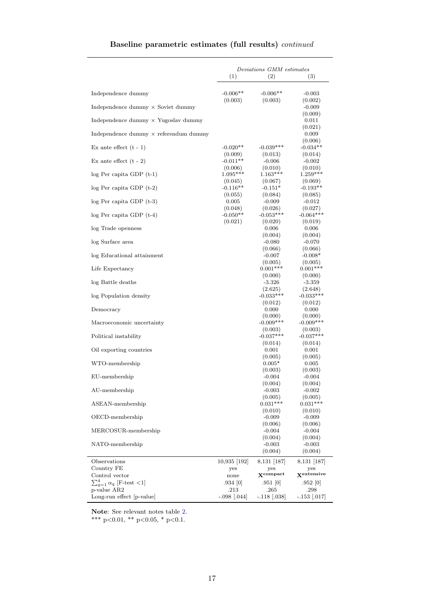# Baseline parametric estimates (full results) continued

|                                                           | Deviations GMM estimates |                               |                        |
|-----------------------------------------------------------|--------------------------|-------------------------------|------------------------|
|                                                           | (1)                      | (2)                           | (3)                    |
| Independence dummy                                        | $-0.006**$               | $-0.006**$                    | $-0.003$               |
| Independence dummy $\times$ Soviet dummy                  | (0.003)                  | (0.003)                       | (0.002)<br>$-0.009$    |
|                                                           |                          |                               | (0.009)                |
| Independence dummy $\times$ Yugoslav dummy                |                          |                               | 0.011<br>(0.021)       |
| Independence dummy $\times$ referendum dummy              |                          |                               | 0.009                  |
| Ex ante effect $(t - 1)$                                  | $-0.020**$               | $-0.039***$                   | (0.006)<br>$-0.034**$  |
|                                                           | (0.009)                  | (0.013)                       | (0.014)                |
| Ex ante effect $(t - 2)$                                  | $-0.011**$<br>(0.006)    | $-0.006$<br>(0.010)           | $-0.002$<br>(0.010)    |
| $log Per capita GDP(t-1)$                                 | 1.095***                 | $1.163***$                    | $1.259***$             |
|                                                           | (0.045)                  | (0.067)                       | (0.069)                |
| $log Per capita GDP(t-2)$                                 | $-0.116**$<br>(0.055)    | $-0.151*$<br>(0.084)          | $-0.193**$<br>(0.085)  |
| $log Per capita GDP(t-3)$                                 | 0.005                    | $-0.009$                      | $-0.012$               |
|                                                           | (0.048)                  | (0.026)                       | (0.027)                |
| $log Per capita GDP(t-4)$                                 | $-0.050**$               | $-0.053***$                   | $-0.064***$            |
|                                                           | (0.021)                  | (0.020)                       | (0.019)                |
| log Trade openness                                        |                          | 0.006<br>(0.004)              | 0.006<br>(0.004)       |
| log Surface area                                          |                          | $-0.080$                      | $-0.070$               |
|                                                           |                          | (0.066)                       | (0.066)                |
| log Educational attainment                                |                          | $-0.007$                      | $-0.008*$              |
|                                                           |                          | (0.005)                       | (0.005)                |
| Life Expectancy                                           |                          | $0.001***$<br>(0.000)         | $0.001***$<br>(0.000)  |
| log Battle deaths                                         |                          | $-3.326$                      | $-3.359$               |
|                                                           |                          | (2.625)                       | (2.648)                |
| log Population density                                    |                          | $-0.033***$                   | $-0.033***$            |
|                                                           |                          | (0.012)                       | (0.012)                |
| Democracy                                                 |                          | 0.000<br>(0.000)              | 0.000<br>(0.000)       |
| Macroeconomic uncertainty                                 |                          | $-0.009***$                   | $-0.009***$            |
|                                                           |                          | (0.003)                       | (0.003)                |
| Political instability                                     |                          | $-0.037***$                   | $-0.037***$            |
|                                                           |                          | (0.014)                       | (0.014)                |
| Oil exporting countries                                   |                          | 0.001<br>(0.005)              | 0.001<br>(0.005)       |
| WTO-membership                                            |                          | $0.005*$                      | 0.005                  |
|                                                           |                          | (0.003)                       | (0.003)                |
| $EU$ -membership                                          |                          | $-0.004$                      | $-0.004$               |
| AU-membership                                             |                          | (0.004)<br>$-0.003$           | (0.004)<br>$-0.002$    |
|                                                           |                          | (0.005)                       | (0.005)                |
| ASEAN-membership                                          |                          | $0.031***$                    | $0.031***$             |
|                                                           |                          | (0.010)                       | (0.010)                |
| OECD-membership                                           |                          | $-0.009$<br>(0.006)           | $-0.009$               |
| MERCOSUR-membership                                       |                          | $-0.004$                      | (0.006)<br>$-0.004$    |
|                                                           |                          | (0.004)                       | (0.004)                |
| NATO-membership                                           |                          | $-0.003$                      | $-0.003$               |
|                                                           |                          | (0.004)                       | (0.004)                |
| Observations                                              | 10,935 [192]             | 8,131   187                   | 8,131 [187]            |
| Country FE                                                | yes                      | yes                           | yes                    |
| Control vector                                            | none                     | $\mathbf{X}^{\text{compact}}$ | Xextensive             |
| $\sum_{q=1}^{4} \alpha_q$ [F-test <1]                     | .934 [0]                 | .951   0                      | .952   0               |
| $\operatorname{p-value}$ AR2<br>Long-run effect [p-value] | .213<br>$-.098$ [.044]   | .265<br>$-.118$ $(.038)$      | .298<br>$-.153$ [.017] |
|                                                           |                          |                               |                        |

Note: See relevant notes table 2.

\*\*\* p<0.01, \*\* p<0.05, \* p<0.1.